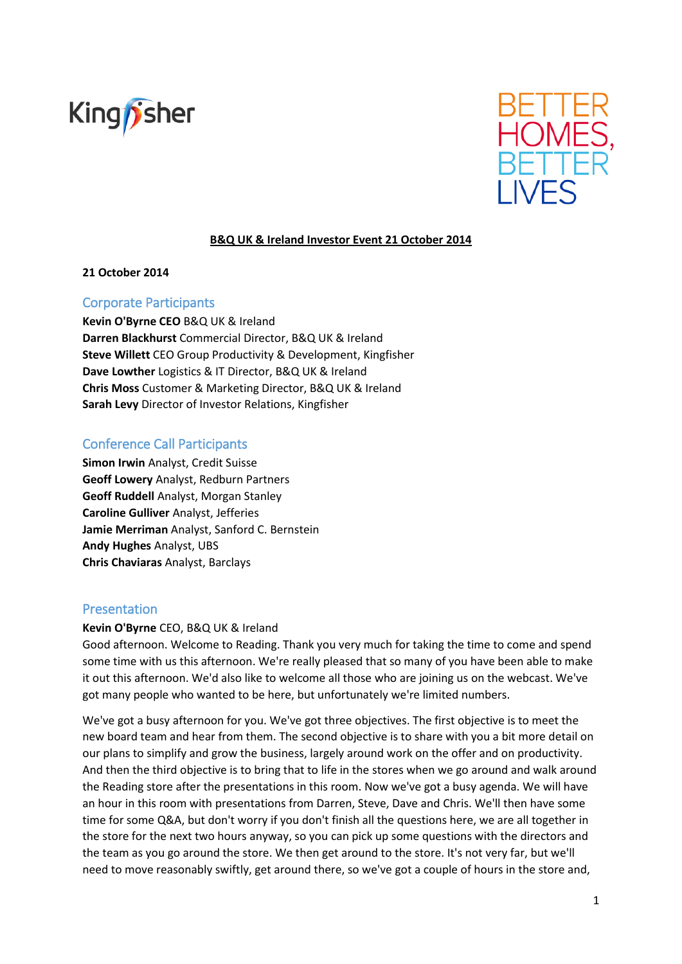



### **B&Q UK & Ireland Investor Event 21 October 2014**

#### **21 October 2014**

### Corporate Participants

**Kevin O'Byrne CEO** B&Q UK & Ireland **Darren Blackhurst** Commercial Director, B&Q UK & Ireland **Steve Willett** CEO Group Productivity & Development, Kingfisher **Dave Lowther** Logistics & IT Director, B&Q UK & Ireland **Chris Moss** Customer & Marketing Director, B&Q UK & Ireland **Sarah Levy** Director of Investor Relations, Kingfisher

# Conference Call Participants

**Simon Irwin** Analyst, Credit Suisse **Geoff Lowery** Analyst, Redburn Partners **Geoff Ruddell** Analyst, Morgan Stanley **Caroline Gulliver** Analyst, Jefferies **Jamie Merriman** Analyst, Sanford C. Bernstein **Andy Hughes** Analyst, UBS **Chris Chaviaras** Analyst, Barclays

### Presentation

#### **Kevin O'Byrne** CEO, B&Q UK & Ireland

Good afternoon. Welcome to Reading. Thank you very much for taking the time to come and spend some time with us this afternoon. We're really pleased that so many of you have been able to make it out this afternoon. We'd also like to welcome all those who are joining us on the webcast. We've got many people who wanted to be here, but unfortunately we're limited numbers.

We've got a busy afternoon for you. We've got three objectives. The first objective is to meet the new board team and hear from them. The second objective is to share with you a bit more detail on our plans to simplify and grow the business, largely around work on the offer and on productivity. And then the third objective is to bring that to life in the stores when we go around and walk around the Reading store after the presentations in this room. Now we've got a busy agenda. We will have an hour in this room with presentations from Darren, Steve, Dave and Chris. We'll then have some time for some Q&A, but don't worry if you don't finish all the questions here, we are all together in the store for the next two hours anyway, so you can pick up some questions with the directors and the team as you go around the store. We then get around to the store. It's not very far, but we'll need to move reasonably swiftly, get around there, so we've got a couple of hours in the store and,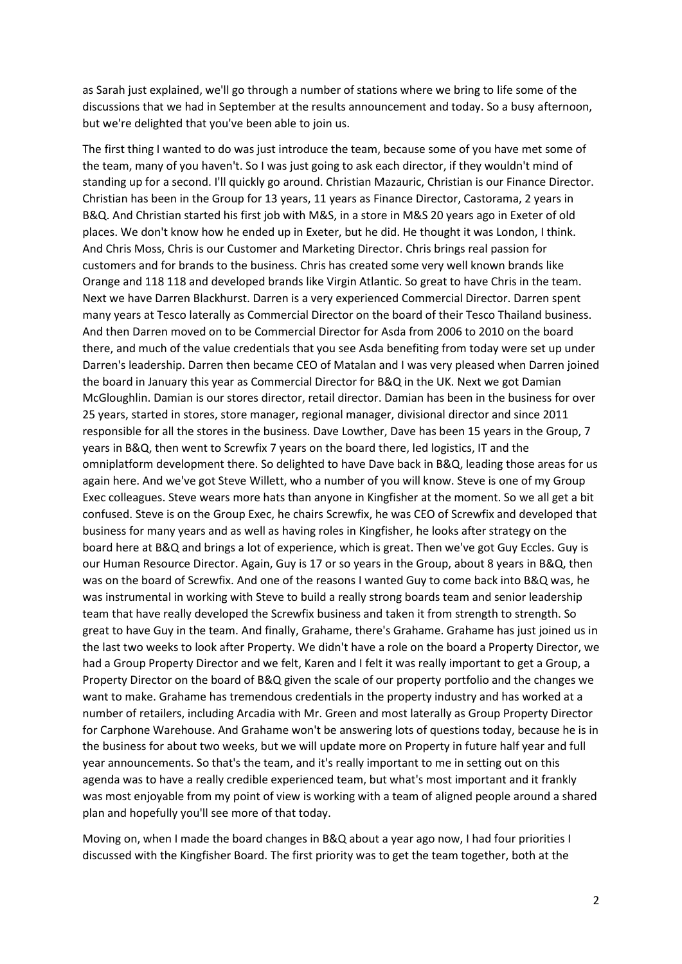as Sarah just explained, we'll go through a number of stations where we bring to life some of the discussions that we had in September at the results announcement and today. So a busy afternoon, but we're delighted that you've been able to join us.

The first thing I wanted to do was just introduce the team, because some of you have met some of the team, many of you haven't. So I was just going to ask each director, if they wouldn't mind of standing up for a second. I'll quickly go around. Christian Mazauric, Christian is our Finance Director. Christian has been in the Group for 13 years, 11 years as Finance Director, Castorama, 2 years in B&Q. And Christian started his first job with M&S, in a store in M&S 20 years ago in Exeter of old places. We don't know how he ended up in Exeter, but he did. He thought it was London, I think. And Chris Moss, Chris is our Customer and Marketing Director. Chris brings real passion for customers and for brands to the business. Chris has created some very well known brands like Orange and 118 118 and developed brands like Virgin Atlantic. So great to have Chris in the team. Next we have Darren Blackhurst. Darren is a very experienced Commercial Director. Darren spent many years at Tesco laterally as Commercial Director on the board of their Tesco Thailand business. And then Darren moved on to be Commercial Director for Asda from 2006 to 2010 on the board there, and much of the value credentials that you see Asda benefiting from today were set up under Darren's leadership. Darren then became CEO of Matalan and I was very pleased when Darren joined the board in January this year as Commercial Director for B&Q in the UK. Next we got Damian McGloughlin. Damian is our stores director, retail director. Damian has been in the business for over 25 years, started in stores, store manager, regional manager, divisional director and since 2011 responsible for all the stores in the business. Dave Lowther, Dave has been 15 years in the Group, 7 years in B&Q, then went to Screwfix 7 years on the board there, led logistics, IT and the omniplatform development there. So delighted to have Dave back in B&Q, leading those areas for us again here. And we've got Steve Willett, who a number of you will know. Steve is one of my Group Exec colleagues. Steve wears more hats than anyone in Kingfisher at the moment. So we all get a bit confused. Steve is on the Group Exec, he chairs Screwfix, he was CEO of Screwfix and developed that business for many years and as well as having roles in Kingfisher, he looks after strategy on the board here at B&Q and brings a lot of experience, which is great. Then we've got Guy Eccles. Guy is our Human Resource Director. Again, Guy is 17 or so years in the Group, about 8 years in B&Q, then was on the board of Screwfix. And one of the reasons I wanted Guy to come back into B&Q was, he was instrumental in working with Steve to build a really strong boards team and senior leadership team that have really developed the Screwfix business and taken it from strength to strength. So great to have Guy in the team. And finally, Grahame, there's Grahame. Grahame has just joined us in the last two weeks to look after Property. We didn't have a role on the board a Property Director, we had a Group Property Director and we felt, Karen and I felt it was really important to get a Group, a Property Director on the board of B&Q given the scale of our property portfolio and the changes we want to make. Grahame has tremendous credentials in the property industry and has worked at a number of retailers, including Arcadia with Mr. Green and most laterally as Group Property Director for Carphone Warehouse. And Grahame won't be answering lots of questions today, because he is in the business for about two weeks, but we will update more on Property in future half year and full year announcements. So that's the team, and it's really important to me in setting out on this agenda was to have a really credible experienced team, but what's most important and it frankly was most enjoyable from my point of view is working with a team of aligned people around a shared plan and hopefully you'll see more of that today.

Moving on, when I made the board changes in B&Q about a year ago now, I had four priorities I discussed with the Kingfisher Board. The first priority was to get the team together, both at the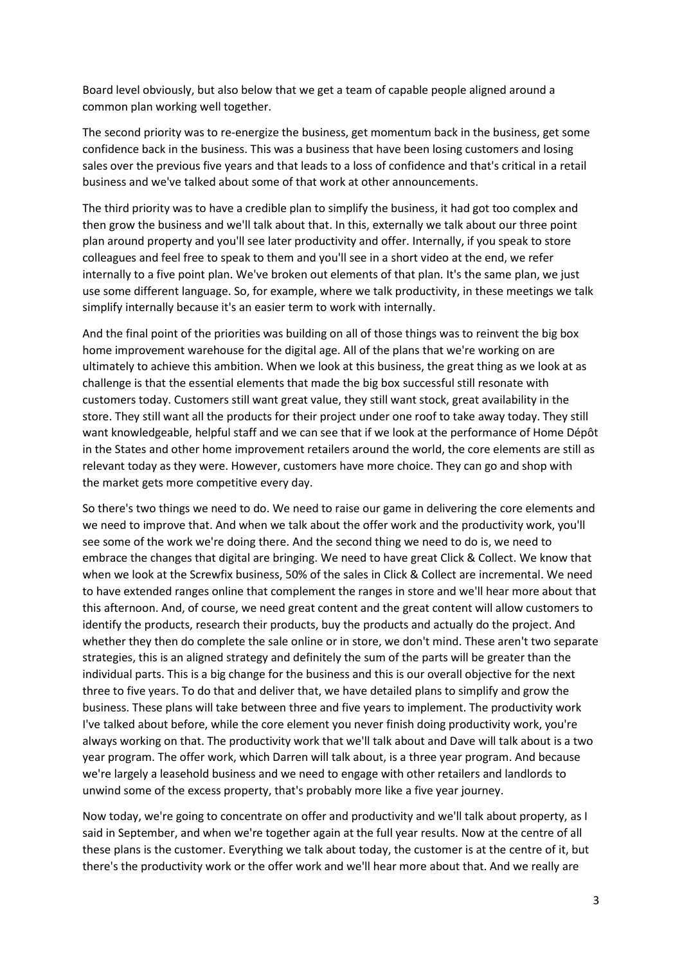Board level obviously, but also below that we get a team of capable people aligned around a common plan working well together.

The second priority was to re-energize the business, get momentum back in the business, get some confidence back in the business. This was a business that have been losing customers and losing sales over the previous five years and that leads to a loss of confidence and that's critical in a retail business and we've talked about some of that work at other announcements.

The third priority was to have a credible plan to simplify the business, it had got too complex and then grow the business and we'll talk about that. In this, externally we talk about our three point plan around property and you'll see later productivity and offer. Internally, if you speak to store colleagues and feel free to speak to them and you'll see in a short video at the end, we refer internally to a five point plan. We've broken out elements of that plan. It's the same plan, we just use some different language. So, for example, where we talk productivity, in these meetings we talk simplify internally because it's an easier term to work with internally.

And the final point of the priorities was building on all of those things was to reinvent the big box home improvement warehouse for the digital age. All of the plans that we're working on are ultimately to achieve this ambition. When we look at this business, the great thing as we look at as challenge is that the essential elements that made the big box successful still resonate with customers today. Customers still want great value, they still want stock, great availability in the store. They still want all the products for their project under one roof to take away today. They still want knowledgeable, helpful staff and we can see that if we look at the performance of Home Dépôt in the States and other home improvement retailers around the world, the core elements are still as relevant today as they were. However, customers have more choice. They can go and shop with the market gets more competitive every day.

So there's two things we need to do. We need to raise our game in delivering the core elements and we need to improve that. And when we talk about the offer work and the productivity work, you'll see some of the work we're doing there. And the second thing we need to do is, we need to embrace the changes that digital are bringing. We need to have great Click & Collect. We know that when we look at the Screwfix business, 50% of the sales in Click & Collect are incremental. We need to have extended ranges online that complement the ranges in store and we'll hear more about that this afternoon. And, of course, we need great content and the great content will allow customers to identify the products, research their products, buy the products and actually do the project. And whether they then do complete the sale online or in store, we don't mind. These aren't two separate strategies, this is an aligned strategy and definitely the sum of the parts will be greater than the individual parts. This is a big change for the business and this is our overall objective for the next three to five years. To do that and deliver that, we have detailed plans to simplify and grow the business. These plans will take between three and five years to implement. The productivity work I've talked about before, while the core element you never finish doing productivity work, you're always working on that. The productivity work that we'll talk about and Dave will talk about is a two year program. The offer work, which Darren will talk about, is a three year program. And because we're largely a leasehold business and we need to engage with other retailers and landlords to unwind some of the excess property, that's probably more like a five year journey.

Now today, we're going to concentrate on offer and productivity and we'll talk about property, as I said in September, and when we're together again at the full year results. Now at the centre of all these plans is the customer. Everything we talk about today, the customer is at the centre of it, but there's the productivity work or the offer work and we'll hear more about that. And we really are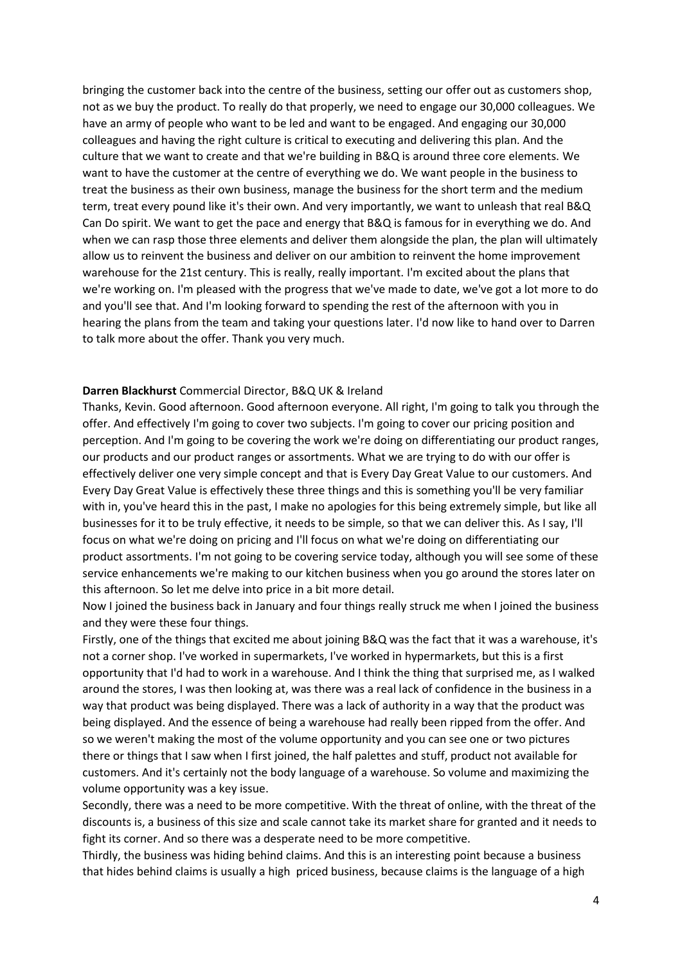bringing the customer back into the centre of the business, setting our offer out as customers shop, not as we buy the product. To really do that properly, we need to engage our 30,000 colleagues. We have an army of people who want to be led and want to be engaged. And engaging our 30,000 colleagues and having the right culture is critical to executing and delivering this plan. And the culture that we want to create and that we're building in B&Q is around three core elements. We want to have the customer at the centre of everything we do. We want people in the business to treat the business as their own business, manage the business for the short term and the medium term, treat every pound like it's their own. And very importantly, we want to unleash that real B&Q Can Do spirit. We want to get the pace and energy that B&Q is famous for in everything we do. And when we can rasp those three elements and deliver them alongside the plan, the plan will ultimately allow us to reinvent the business and deliver on our ambition to reinvent the home improvement warehouse for the 21st century. This is really, really important. I'm excited about the plans that we're working on. I'm pleased with the progress that we've made to date, we've got a lot more to do and you'll see that. And I'm looking forward to spending the rest of the afternoon with you in hearing the plans from the team and taking your questions later. I'd now like to hand over to Darren to talk more about the offer. Thank you very much.

#### **Darren Blackhurst** Commercial Director, B&Q UK & Ireland

Thanks, Kevin. Good afternoon. Good afternoon everyone. All right, I'm going to talk you through the offer. And effectively I'm going to cover two subjects. I'm going to cover our pricing position and perception. And I'm going to be covering the work we're doing on differentiating our product ranges, our products and our product ranges or assortments. What we are trying to do with our offer is effectively deliver one very simple concept and that is Every Day Great Value to our customers. And Every Day Great Value is effectively these three things and this is something you'll be very familiar with in, you've heard this in the past, I make no apologies for this being extremely simple, but like all businesses for it to be truly effective, it needs to be simple, so that we can deliver this. As I say, I'll focus on what we're doing on pricing and I'll focus on what we're doing on differentiating our product assortments. I'm not going to be covering service today, although you will see some of these service enhancements we're making to our kitchen business when you go around the stores later on this afternoon. So let me delve into price in a bit more detail.

Now I joined the business back in January and four things really struck me when I joined the business and they were these four things.

Firstly, one of the things that excited me about joining B&Q was the fact that it was a warehouse, it's not a corner shop. I've worked in supermarkets, I've worked in hypermarkets, but this is a first opportunity that I'd had to work in a warehouse. And I think the thing that surprised me, as I walked around the stores, I was then looking at, was there was a real lack of confidence in the business in a way that product was being displayed. There was a lack of authority in a way that the product was being displayed. And the essence of being a warehouse had really been ripped from the offer. And so we weren't making the most of the volume opportunity and you can see one or two pictures there or things that I saw when I first joined, the half palettes and stuff, product not available for customers. And it's certainly not the body language of a warehouse. So volume and maximizing the volume opportunity was a key issue.

Secondly, there was a need to be more competitive. With the threat of online, with the threat of the discounts is, a business of this size and scale cannot take its market share for granted and it needs to fight its corner. And so there was a desperate need to be more competitive.

Thirdly, the business was hiding behind claims. And this is an interesting point because a business that hides behind claims is usually a high priced business, because claims is the language of a high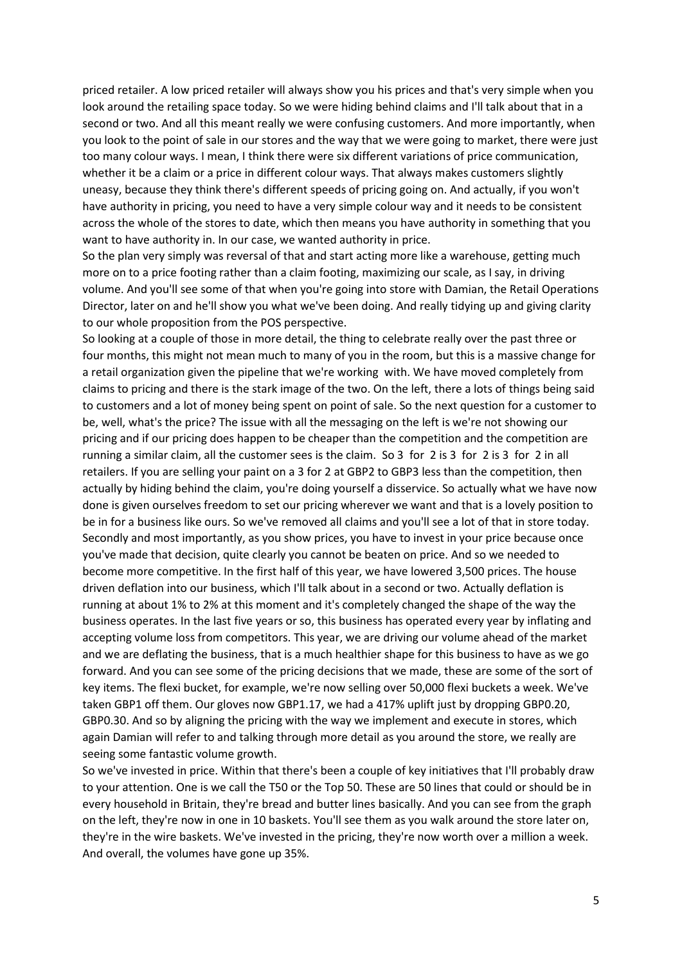priced retailer. A low priced retailer will always show you his prices and that's very simple when you look around the retailing space today. So we were hiding behind claims and I'll talk about that in a second or two. And all this meant really we were confusing customers. And more importantly, when you look to the point of sale in our stores and the way that we were going to market, there were just too many colour ways. I mean, I think there were six different variations of price communication, whether it be a claim or a price in different colour ways. That always makes customers slightly uneasy, because they think there's different speeds of pricing going on. And actually, if you won't have authority in pricing, you need to have a very simple colour way and it needs to be consistent across the whole of the stores to date, which then means you have authority in something that you want to have authority in. In our case, we wanted authority in price.

So the plan very simply was reversal of that and start acting more like a warehouse, getting much more on to a price footing rather than a claim footing, maximizing our scale, as I say, in driving volume. And you'll see some of that when you're going into store with Damian, the Retail Operations Director, later on and he'll show you what we've been doing. And really tidying up and giving clarity to our whole proposition from the POS perspective.

So looking at a couple of those in more detail, the thing to celebrate really over the past three or four months, this might not mean much to many of you in the room, but this is a massive change for a retail organization given the pipeline that we're working with. We have moved completely from claims to pricing and there is the stark image of the two. On the left, there a lots of things being said to customers and a lot of money being spent on point of sale. So the next question for a customer to be, well, what's the price? The issue with all the messaging on the left is we're not showing our pricing and if our pricing does happen to be cheaper than the competition and the competition are running a similar claim, all the customer sees is the claim. So 3 for 2 is 3 for 2 is 3 for 2 in all retailers. If you are selling your paint on a 3 for 2 at GBP2 to GBP3 less than the competition, then actually by hiding behind the claim, you're doing yourself a disservice. So actually what we have now done is given ourselves freedom to set our pricing wherever we want and that is a lovely position to be in for a business like ours. So we've removed all claims and you'll see a lot of that in store today. Secondly and most importantly, as you show prices, you have to invest in your price because once you've made that decision, quite clearly you cannot be beaten on price. And so we needed to become more competitive. In the first half of this year, we have lowered 3,500 prices. The house driven deflation into our business, which I'll talk about in a second or two. Actually deflation is running at about 1% to 2% at this moment and it's completely changed the shape of the way the business operates. In the last five years or so, this business has operated every year by inflating and accepting volume loss from competitors. This year, we are driving our volume ahead of the market and we are deflating the business, that is a much healthier shape for this business to have as we go forward. And you can see some of the pricing decisions that we made, these are some of the sort of key items. The flexi bucket, for example, we're now selling over 50,000 flexi buckets a week. We've taken GBP1 off them. Our gloves now GBP1.17, we had a 417% uplift just by dropping GBP0.20, GBP0.30. And so by aligning the pricing with the way we implement and execute in stores, which again Damian will refer to and talking through more detail as you around the store, we really are seeing some fantastic volume growth.

So we've invested in price. Within that there's been a couple of key initiatives that I'll probably draw to your attention. One is we call the T50 or the Top 50. These are 50 lines that could or should be in every household in Britain, they're bread and butter lines basically. And you can see from the graph on the left, they're now in one in 10 baskets. You'll see them as you walk around the store later on, they're in the wire baskets. We've invested in the pricing, they're now worth over a million a week. And overall, the volumes have gone up 35%.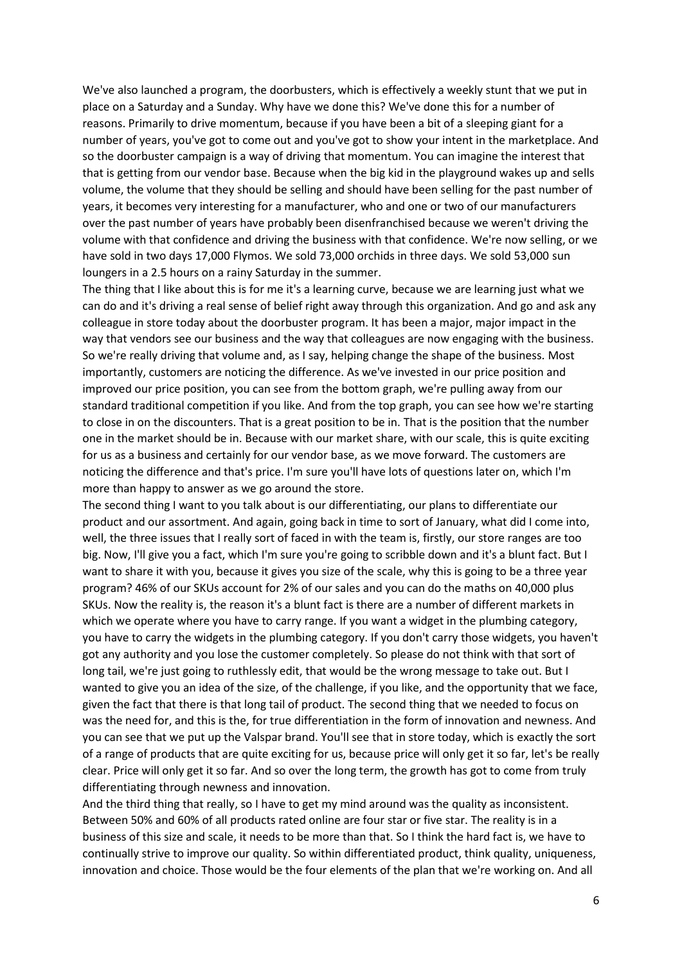We've also launched a program, the doorbusters, which is effectively a weekly stunt that we put in place on a Saturday and a Sunday. Why have we done this? We've done this for a number of reasons. Primarily to drive momentum, because if you have been a bit of a sleeping giant for a number of years, you've got to come out and you've got to show your intent in the marketplace. And so the doorbuster campaign is a way of driving that momentum. You can imagine the interest that that is getting from our vendor base. Because when the big kid in the playground wakes up and sells volume, the volume that they should be selling and should have been selling for the past number of years, it becomes very interesting for a manufacturer, who and one or two of our manufacturers over the past number of years have probably been disenfranchised because we weren't driving the volume with that confidence and driving the business with that confidence. We're now selling, or we have sold in two days 17,000 Flymos. We sold 73,000 orchids in three days. We sold 53,000 sun loungers in a 2.5 hours on a rainy Saturday in the summer.

The thing that I like about this is for me it's a learning curve, because we are learning just what we can do and it's driving a real sense of belief right away through this organization. And go and ask any colleague in store today about the doorbuster program. It has been a major, major impact in the way that vendors see our business and the way that colleagues are now engaging with the business. So we're really driving that volume and, as I say, helping change the shape of the business. Most importantly, customers are noticing the difference. As we've invested in our price position and improved our price position, you can see from the bottom graph, we're pulling away from our standard traditional competition if you like. And from the top graph, you can see how we're starting to close in on the discounters. That is a great position to be in. That is the position that the number one in the market should be in. Because with our market share, with our scale, this is quite exciting for us as a business and certainly for our vendor base, as we move forward. The customers are noticing the difference and that's price. I'm sure you'll have lots of questions later on, which I'm more than happy to answer as we go around the store.

The second thing I want to you talk about is our differentiating, our plans to differentiate our product and our assortment. And again, going back in time to sort of January, what did I come into, well, the three issues that I really sort of faced in with the team is, firstly, our store ranges are too big. Now, I'll give you a fact, which I'm sure you're going to scribble down and it's a blunt fact. But I want to share it with you, because it gives you size of the scale, why this is going to be a three year program? 46% of our SKUs account for 2% of our sales and you can do the maths on 40,000 plus SKUs. Now the reality is, the reason it's a blunt fact is there are a number of different markets in which we operate where you have to carry range. If you want a widget in the plumbing category, you have to carry the widgets in the plumbing category. If you don't carry those widgets, you haven't got any authority and you lose the customer completely. So please do not think with that sort of long tail, we're just going to ruthlessly edit, that would be the wrong message to take out. But I wanted to give you an idea of the size, of the challenge, if you like, and the opportunity that we face, given the fact that there is that long tail of product. The second thing that we needed to focus on was the need for, and this is the, for true differentiation in the form of innovation and newness. And you can see that we put up the Valspar brand. You'll see that in store today, which is exactly the sort of a range of products that are quite exciting for us, because price will only get it so far, let's be really clear. Price will only get it so far. And so over the long term, the growth has got to come from truly differentiating through newness and innovation.

And the third thing that really, so I have to get my mind around was the quality as inconsistent. Between 50% and 60% of all products rated online are four star or five star. The reality is in a business of this size and scale, it needs to be more than that. So I think the hard fact is, we have to continually strive to improve our quality. So within differentiated product, think quality, uniqueness, innovation and choice. Those would be the four elements of the plan that we're working on. And all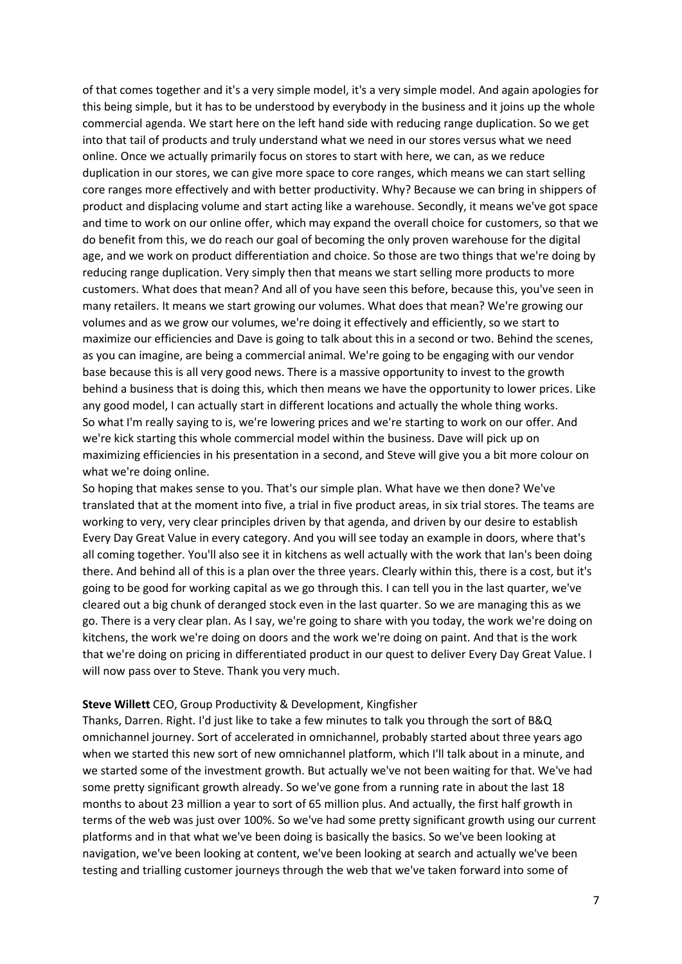of that comes together and it's a very simple model, it's a very simple model. And again apologies for this being simple, but it has to be understood by everybody in the business and it joins up the whole commercial agenda. We start here on the left hand side with reducing range duplication. So we get into that tail of products and truly understand what we need in our stores versus what we need online. Once we actually primarily focus on stores to start with here, we can, as we reduce duplication in our stores, we can give more space to core ranges, which means we can start selling core ranges more effectively and with better productivity. Why? Because we can bring in shippers of product and displacing volume and start acting like a warehouse. Secondly, it means we've got space and time to work on our online offer, which may expand the overall choice for customers, so that we do benefit from this, we do reach our goal of becoming the only proven warehouse for the digital age, and we work on product differentiation and choice. So those are two things that we're doing by reducing range duplication. Very simply then that means we start selling more products to more customers. What does that mean? And all of you have seen this before, because this, you've seen in many retailers. It means we start growing our volumes. What does that mean? We're growing our volumes and as we grow our volumes, we're doing it effectively and efficiently, so we start to maximize our efficiencies and Dave is going to talk about this in a second or two. Behind the scenes, as you can imagine, are being a commercial animal. We're going to be engaging with our vendor base because this is all very good news. There is a massive opportunity to invest to the growth behind a business that is doing this, which then means we have the opportunity to lower prices. Like any good model, I can actually start in different locations and actually the whole thing works. So what I'm really saying to is, we're lowering prices and we're starting to work on our offer. And we're kick starting this whole commercial model within the business. Dave will pick up on maximizing efficiencies in his presentation in a second, and Steve will give you a bit more colour on what we're doing online.

So hoping that makes sense to you. That's our simple plan. What have we then done? We've translated that at the moment into five, a trial in five product areas, in six trial stores. The teams are working to very, very clear principles driven by that agenda, and driven by our desire to establish Every Day Great Value in every category. And you will see today an example in doors, where that's all coming together. You'll also see it in kitchens as well actually with the work that Ian's been doing there. And behind all of this is a plan over the three years. Clearly within this, there is a cost, but it's going to be good for working capital as we go through this. I can tell you in the last quarter, we've cleared out a big chunk of deranged stock even in the last quarter. So we are managing this as we go. There is a very clear plan. As I say, we're going to share with you today, the work we're doing on kitchens, the work we're doing on doors and the work we're doing on paint. And that is the work that we're doing on pricing in differentiated product in our quest to deliver Every Day Great Value. I will now pass over to Steve. Thank you very much.

#### **Steve Willett** CEO, Group Productivity & Development, Kingfisher

Thanks, Darren. Right. I'd just like to take a few minutes to talk you through the sort of B&Q omnichannel journey. Sort of accelerated in omnichannel, probably started about three years ago when we started this new sort of new omnichannel platform, which I'll talk about in a minute, and we started some of the investment growth. But actually we've not been waiting for that. We've had some pretty significant growth already. So we've gone from a running rate in about the last 18 months to about 23 million a year to sort of 65 million plus. And actually, the first half growth in terms of the web was just over 100%. So we've had some pretty significant growth using our current platforms and in that what we've been doing is basically the basics. So we've been looking at navigation, we've been looking at content, we've been looking at search and actually we've been testing and trialling customer journeys through the web that we've taken forward into some of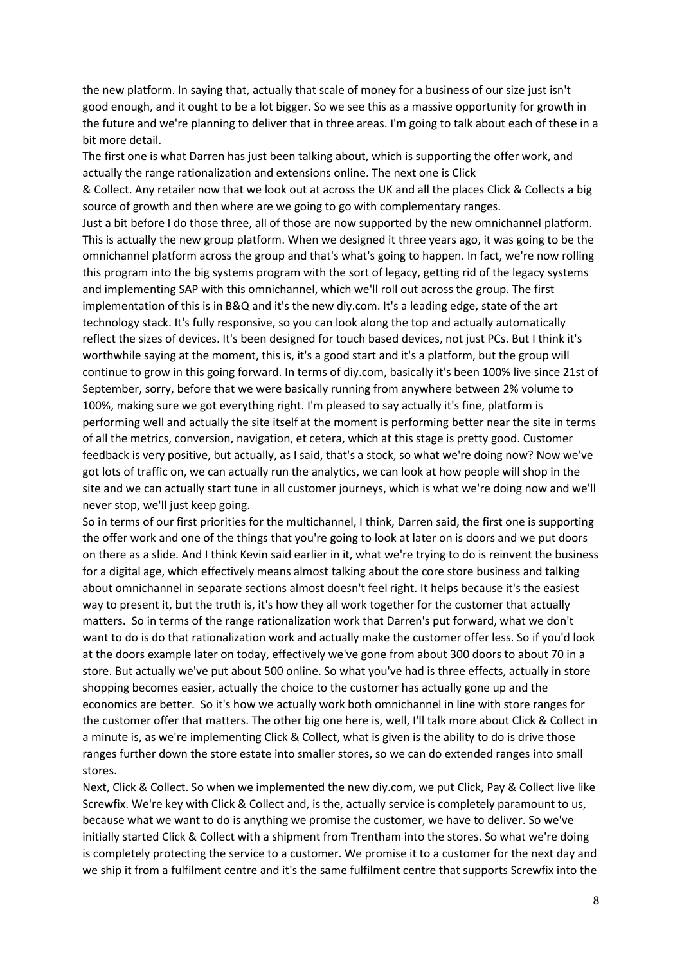the new platform. In saying that, actually that scale of money for a business of our size just isn't good enough, and it ought to be a lot bigger. So we see this as a massive opportunity for growth in the future and we're planning to deliver that in three areas. I'm going to talk about each of these in a bit more detail.

The first one is what Darren has just been talking about, which is supporting the offer work, and actually the range rationalization and extensions online. The next one is Click

& Collect. Any retailer now that we look out at across the UK and all the places Click & Collects a big source of growth and then where are we going to go with complementary ranges.

Just a bit before I do those three, all of those are now supported by the new omnichannel platform. This is actually the new group platform. When we designed it three years ago, it was going to be the omnichannel platform across the group and that's what's going to happen. In fact, we're now rolling this program into the big systems program with the sort of legacy, getting rid of the legacy systems and implementing SAP with this omnichannel, which we'll roll out across the group. The first implementation of this is in B&Q and it's the new diy.com. It's a leading edge, state of the art technology stack. It's fully responsive, so you can look along the top and actually automatically reflect the sizes of devices. It's been designed for touch based devices, not just PCs. But I think it's worthwhile saying at the moment, this is, it's a good start and it's a platform, but the group will continue to grow in this going forward. In terms of diy.com, basically it's been 100% live since 21st of September, sorry, before that we were basically running from anywhere between 2% volume to 100%, making sure we got everything right. I'm pleased to say actually it's fine, platform is performing well and actually the site itself at the moment is performing better near the site in terms of all the metrics, conversion, navigation, et cetera, which at this stage is pretty good. Customer feedback is very positive, but actually, as I said, that's a stock, so what we're doing now? Now we've got lots of traffic on, we can actually run the analytics, we can look at how people will shop in the site and we can actually start tune in all customer journeys, which is what we're doing now and we'll never stop, we'll just keep going.

So in terms of our first priorities for the multichannel, I think, Darren said, the first one is supporting the offer work and one of the things that you're going to look at later on is doors and we put doors on there as a slide. And I think Kevin said earlier in it, what we're trying to do is reinvent the business for a digital age, which effectively means almost talking about the core store business and talking about omnichannel in separate sections almost doesn't feel right. It helps because it's the easiest way to present it, but the truth is, it's how they all work together for the customer that actually matters. So in terms of the range rationalization work that Darren's put forward, what we don't want to do is do that rationalization work and actually make the customer offer less. So if you'd look at the doors example later on today, effectively we've gone from about 300 doors to about 70 in a store. But actually we've put about 500 online. So what you've had is three effects, actually in store shopping becomes easier, actually the choice to the customer has actually gone up and the economics are better. So it's how we actually work both omnichannel in line with store ranges for the customer offer that matters. The other big one here is, well, I'll talk more about Click & Collect in a minute is, as we're implementing Click & Collect, what is given is the ability to do is drive those ranges further down the store estate into smaller stores, so we can do extended ranges into small stores.

Next, Click & Collect. So when we implemented the new diy.com, we put Click, Pay & Collect live like Screwfix. We're key with Click & Collect and, is the, actually service is completely paramount to us, because what we want to do is anything we promise the customer, we have to deliver. So we've initially started Click & Collect with a shipment from Trentham into the stores. So what we're doing is completely protecting the service to a customer. We promise it to a customer for the next day and we ship it from a fulfilment centre and it's the same fulfilment centre that supports Screwfix into the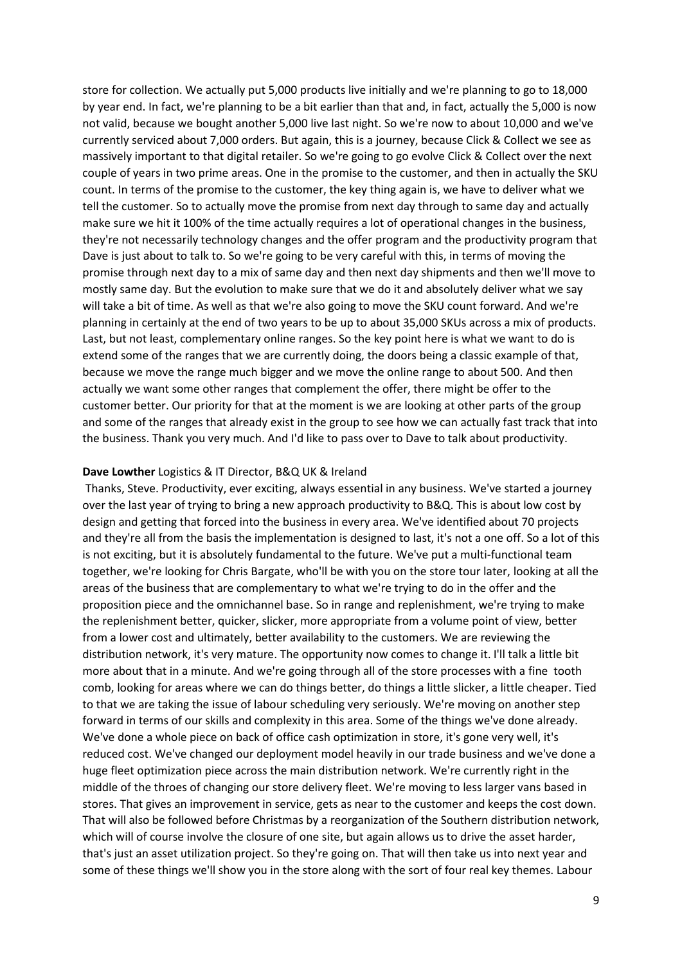store for collection. We actually put 5,000 products live initially and we're planning to go to 18,000 by year end. In fact, we're planning to be a bit earlier than that and, in fact, actually the 5,000 is now not valid, because we bought another 5,000 live last night. So we're now to about 10,000 and we've currently serviced about 7,000 orders. But again, this is a journey, because Click & Collect we see as massively important to that digital retailer. So we're going to go evolve Click & Collect over the next couple of years in two prime areas. One in the promise to the customer, and then in actually the SKU count. In terms of the promise to the customer, the key thing again is, we have to deliver what we tell the customer. So to actually move the promise from next day through to same day and actually make sure we hit it 100% of the time actually requires a lot of operational changes in the business, they're not necessarily technology changes and the offer program and the productivity program that Dave is just about to talk to. So we're going to be very careful with this, in terms of moving the promise through next day to a mix of same day and then next day shipments and then we'll move to mostly same day. But the evolution to make sure that we do it and absolutely deliver what we say will take a bit of time. As well as that we're also going to move the SKU count forward. And we're planning in certainly at the end of two years to be up to about 35,000 SKUs across a mix of products. Last, but not least, complementary online ranges. So the key point here is what we want to do is extend some of the ranges that we are currently doing, the doors being a classic example of that, because we move the range much bigger and we move the online range to about 500. And then actually we want some other ranges that complement the offer, there might be offer to the customer better. Our priority for that at the moment is we are looking at other parts of the group and some of the ranges that already exist in the group to see how we can actually fast track that into the business. Thank you very much. And I'd like to pass over to Dave to talk about productivity.

#### **Dave Lowther** Logistics & IT Director, B&Q UK & Ireland

Thanks, Steve. Productivity, ever exciting, always essential in any business. We've started a journey over the last year of trying to bring a new approach productivity to B&Q. This is about low cost by design and getting that forced into the business in every area. We've identified about 70 projects and they're all from the basis the implementation is designed to last, it's not a one off. So a lot of this is not exciting, but it is absolutely fundamental to the future. We've put a multi-functional team together, we're looking for Chris Bargate, who'll be with you on the store tour later, looking at all the areas of the business that are complementary to what we're trying to do in the offer and the proposition piece and the omnichannel base. So in range and replenishment, we're trying to make the replenishment better, quicker, slicker, more appropriate from a volume point of view, better from a lower cost and ultimately, better availability to the customers. We are reviewing the distribution network, it's very mature. The opportunity now comes to change it. I'll talk a little bit more about that in a minute. And we're going through all of the store processes with a fine tooth comb, looking for areas where we can do things better, do things a little slicker, a little cheaper. Tied to that we are taking the issue of labour scheduling very seriously. We're moving on another step forward in terms of our skills and complexity in this area. Some of the things we've done already. We've done a whole piece on back of office cash optimization in store, it's gone very well, it's reduced cost. We've changed our deployment model heavily in our trade business and we've done a huge fleet optimization piece across the main distribution network. We're currently right in the middle of the throes of changing our store delivery fleet. We're moving to less larger vans based in stores. That gives an improvement in service, gets as near to the customer and keeps the cost down. That will also be followed before Christmas by a reorganization of the Southern distribution network, which will of course involve the closure of one site, but again allows us to drive the asset harder, that's just an asset utilization project. So they're going on. That will then take us into next year and some of these things we'll show you in the store along with the sort of four real key themes. Labour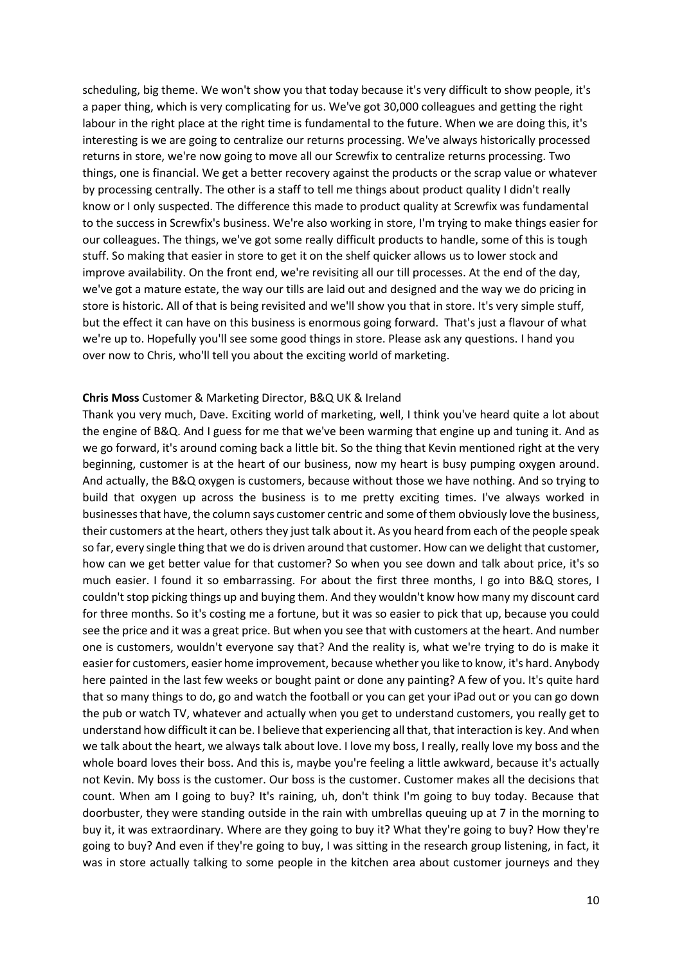scheduling, big theme. We won't show you that today because it's very difficult to show people, it's a paper thing, which is very complicating for us. We've got 30,000 colleagues and getting the right labour in the right place at the right time is fundamental to the future. When we are doing this, it's interesting is we are going to centralize our returns processing. We've always historically processed returns in store, we're now going to move all our Screwfix to centralize returns processing. Two things, one is financial. We get a better recovery against the products or the scrap value or whatever by processing centrally. The other is a staff to tell me things about product quality I didn't really know or I only suspected. The difference this made to product quality at Screwfix was fundamental to the success in Screwfix's business. We're also working in store, I'm trying to make things easier for our colleagues. The things, we've got some really difficult products to handle, some of this is tough stuff. So making that easier in store to get it on the shelf quicker allows us to lower stock and improve availability. On the front end, we're revisiting all our till processes. At the end of the day, we've got a mature estate, the way our tills are laid out and designed and the way we do pricing in store is historic. All of that is being revisited and we'll show you that in store. It's very simple stuff, but the effect it can have on this business is enormous going forward. That's just a flavour of what we're up to. Hopefully you'll see some good things in store. Please ask any questions. I hand you over now to Chris, who'll tell you about the exciting world of marketing.

#### **Chris Moss** Customer & Marketing Director, B&Q UK & Ireland

Thank you very much, Dave. Exciting world of marketing, well, I think you've heard quite a lot about the engine of B&Q. And I guess for me that we've been warming that engine up and tuning it. And as we go forward, it's around coming back a little bit. So the thing that Kevin mentioned right at the very beginning, customer is at the heart of our business, now my heart is busy pumping oxygen around. And actually, the B&Q oxygen is customers, because without those we have nothing. And so trying to build that oxygen up across the business is to me pretty exciting times. I've always worked in businesses that have, the column says customer centric and some of them obviously love the business, their customers at the heart, others they just talk about it. As you heard from each of the people speak so far, every single thing that we do is driven around that customer. How can we delight that customer, how can we get better value for that customer? So when you see down and talk about price, it's so much easier. I found it so embarrassing. For about the first three months, I go into B&Q stores, I couldn't stop picking things up and buying them. And they wouldn't know how many my discount card for three months. So it's costing me a fortune, but it was so easier to pick that up, because you could see the price and it was a great price. But when you see that with customers at the heart. And number one is customers, wouldn't everyone say that? And the reality is, what we're trying to do is make it easier for customers, easier home improvement, because whether you like to know, it's hard. Anybody here painted in the last few weeks or bought paint or done any painting? A few of you. It's quite hard that so many things to do, go and watch the football or you can get your iPad out or you can go down the pub or watch TV, whatever and actually when you get to understand customers, you really get to understand how difficult it can be. I believe that experiencing all that, that interaction is key. And when we talk about the heart, we always talk about love. I love my boss, I really, really love my boss and the whole board loves their boss. And this is, maybe you're feeling a little awkward, because it's actually not Kevin. My boss is the customer. Our boss is the customer. Customer makes all the decisions that count. When am I going to buy? It's raining, uh, don't think I'm going to buy today. Because that doorbuster, they were standing outside in the rain with umbrellas queuing up at 7 in the morning to buy it, it was extraordinary. Where are they going to buy it? What they're going to buy? How they're going to buy? And even if they're going to buy, I was sitting in the research group listening, in fact, it was in store actually talking to some people in the kitchen area about customer journeys and they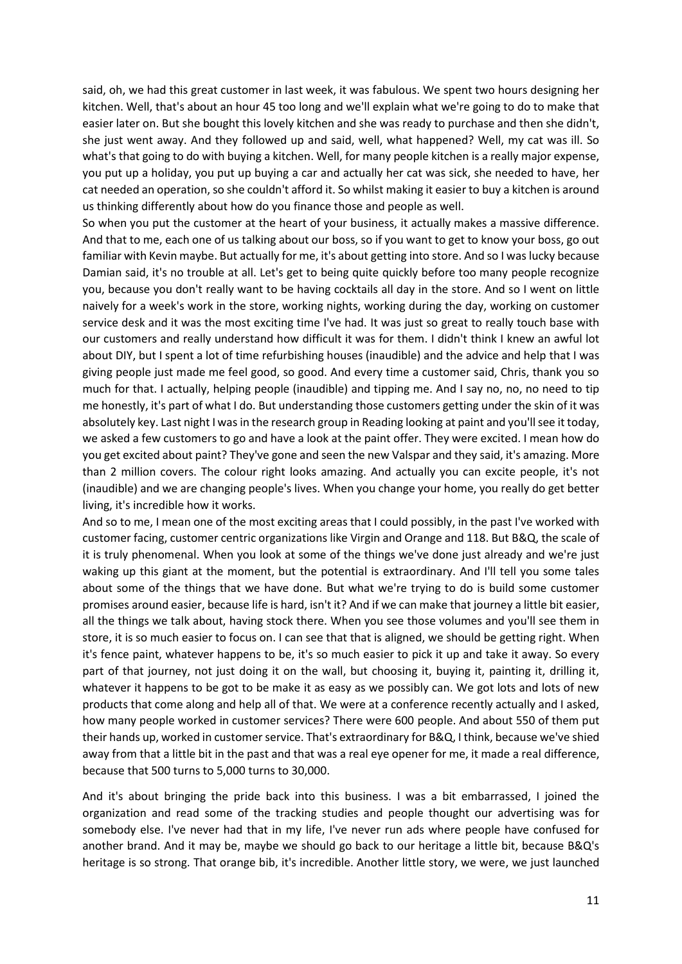said, oh, we had this great customer in last week, it was fabulous. We spent two hours designing her kitchen. Well, that's about an hour 45 too long and we'll explain what we're going to do to make that easier later on. But she bought this lovely kitchen and she was ready to purchase and then she didn't, she just went away. And they followed up and said, well, what happened? Well, my cat was ill. So what's that going to do with buying a kitchen. Well, for many people kitchen is a really major expense, you put up a holiday, you put up buying a car and actually her cat was sick, she needed to have, her cat needed an operation, so she couldn't afford it. So whilst making it easier to buy a kitchen is around us thinking differently about how do you finance those and people as well.

So when you put the customer at the heart of your business, it actually makes a massive difference. And that to me, each one of us talking about our boss, so if you want to get to know your boss, go out familiar with Kevin maybe. But actually for me, it's about getting into store. And so I was lucky because Damian said, it's no trouble at all. Let's get to being quite quickly before too many people recognize you, because you don't really want to be having cocktails all day in the store. And so I went on little naively for a week's work in the store, working nights, working during the day, working on customer service desk and it was the most exciting time I've had. It was just so great to really touch base with our customers and really understand how difficult it was for them. I didn't think I knew an awful lot about DIY, but I spent a lot of time refurbishing houses (inaudible) and the advice and help that I was giving people just made me feel good, so good. And every time a customer said, Chris, thank you so much for that. I actually, helping people (inaudible) and tipping me. And I say no, no, no need to tip me honestly, it's part of what I do. But understanding those customers getting under the skin of it was absolutely key. Last night I was in the research group in Reading looking at paint and you'll see it today, we asked a few customers to go and have a look at the paint offer. They were excited. I mean how do you get excited about paint? They've gone and seen the new Valspar and they said, it's amazing. More than 2 million covers. The colour right looks amazing. And actually you can excite people, it's not (inaudible) and we are changing people's lives. When you change your home, you really do get better living, it's incredible how it works.

And so to me, I mean one of the most exciting areas that I could possibly, in the past I've worked with customer facing, customer centric organizations like Virgin and Orange and 118. But B&Q, the scale of it is truly phenomenal. When you look at some of the things we've done just already and we're just waking up this giant at the moment, but the potential is extraordinary. And I'll tell you some tales about some of the things that we have done. But what we're trying to do is build some customer promises around easier, because life is hard, isn't it? And if we can make that journey a little bit easier, all the things we talk about, having stock there. When you see those volumes and you'll see them in store, it is so much easier to focus on. I can see that that is aligned, we should be getting right. When it's fence paint, whatever happens to be, it's so much easier to pick it up and take it away. So every part of that journey, not just doing it on the wall, but choosing it, buying it, painting it, drilling it, whatever it happens to be got to be make it as easy as we possibly can. We got lots and lots of new products that come along and help all of that. We were at a conference recently actually and I asked, how many people worked in customer services? There were 600 people. And about 550 of them put their hands up, worked in customer service. That's extraordinary for B&Q, I think, because we've shied away from that a little bit in the past and that was a real eye opener for me, it made a real difference, because that 500 turns to 5,000 turns to 30,000.

And it's about bringing the pride back into this business. I was a bit embarrassed, I joined the organization and read some of the tracking studies and people thought our advertising was for somebody else. I've never had that in my life, I've never run ads where people have confused for another brand. And it may be, maybe we should go back to our heritage a little bit, because B&Q's heritage is so strong. That orange bib, it's incredible. Another little story, we were, we just launched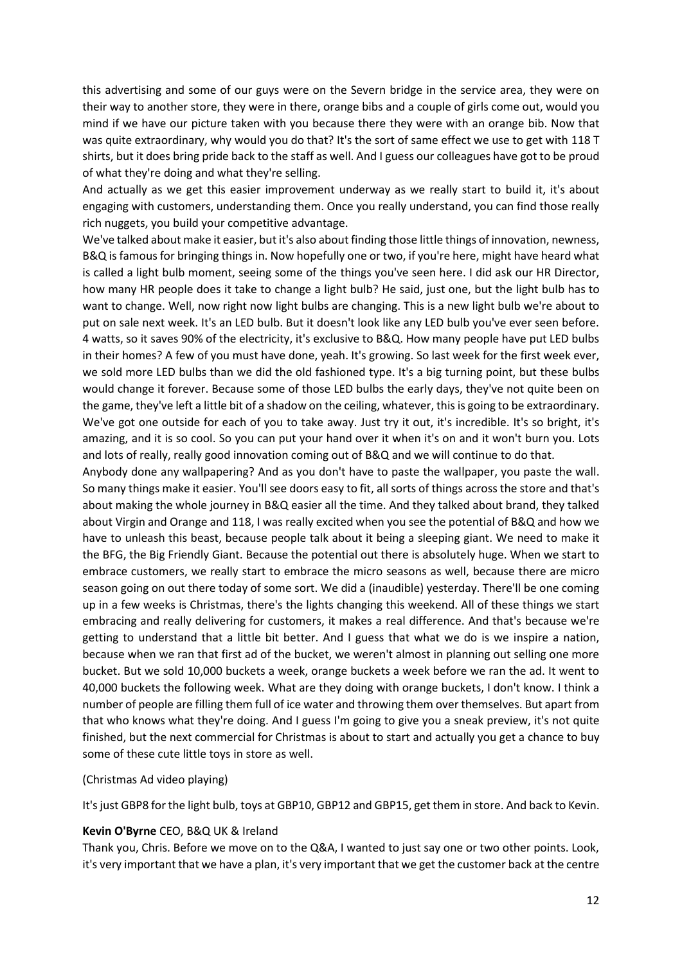this advertising and some of our guys were on the Severn bridge in the service area, they were on their way to another store, they were in there, orange bibs and a couple of girls come out, would you mind if we have our picture taken with you because there they were with an orange bib. Now that was quite extraordinary, why would you do that? It's the sort of same effect we use to get with 118 T shirts, but it does bring pride back to the staff as well. And I guess our colleagues have got to be proud of what they're doing and what they're selling.

And actually as we get this easier improvement underway as we really start to build it, it's about engaging with customers, understanding them. Once you really understand, you can find those really rich nuggets, you build your competitive advantage.

We've talked about make it easier, but it's also about finding those little things of innovation, newness, B&Q is famous for bringing things in. Now hopefully one or two, if you're here, might have heard what is called a light bulb moment, seeing some of the things you've seen here. I did ask our HR Director, how many HR people does it take to change a light bulb? He said, just one, but the light bulb has to want to change. Well, now right now light bulbs are changing. This is a new light bulb we're about to put on sale next week. It's an LED bulb. But it doesn't look like any LED bulb you've ever seen before. 4 watts, so it saves 90% of the electricity, it's exclusive to B&Q. How many people have put LED bulbs in their homes? A few of you must have done, yeah. It's growing. So last week for the first week ever, we sold more LED bulbs than we did the old fashioned type. It's a big turning point, but these bulbs would change it forever. Because some of those LED bulbs the early days, they've not quite been on the game, they've left a little bit of a shadow on the ceiling, whatever, this is going to be extraordinary. We've got one outside for each of you to take away. Just try it out, it's incredible. It's so bright, it's amazing, and it is so cool. So you can put your hand over it when it's on and it won't burn you. Lots and lots of really, really good innovation coming out of B&Q and we will continue to do that.

Anybody done any wallpapering? And as you don't have to paste the wallpaper, you paste the wall. So many things make it easier. You'll see doors easy to fit, all sorts of things across the store and that's about making the whole journey in B&Q easier all the time. And they talked about brand, they talked about Virgin and Orange and 118, I was really excited when you see the potential of B&Q and how we have to unleash this beast, because people talk about it being a sleeping giant. We need to make it the BFG, the Big Friendly Giant. Because the potential out there is absolutely huge. When we start to embrace customers, we really start to embrace the micro seasons as well, because there are micro season going on out there today of some sort. We did a (inaudible) yesterday. There'll be one coming up in a few weeks is Christmas, there's the lights changing this weekend. All of these things we start embracing and really delivering for customers, it makes a real difference. And that's because we're getting to understand that a little bit better. And I guess that what we do is we inspire a nation, because when we ran that first ad of the bucket, we weren't almost in planning out selling one more bucket. But we sold 10,000 buckets a week, orange buckets a week before we ran the ad. It went to 40,000 buckets the following week. What are they doing with orange buckets, I don't know. I think a number of people are filling them full of ice water and throwing them over themselves. But apart from that who knows what they're doing. And I guess I'm going to give you a sneak preview, it's not quite finished, but the next commercial for Christmas is about to start and actually you get a chance to buy some of these cute little toys in store as well.

#### (Christmas Ad video playing)

It's just GBP8 for the light bulb, toys at GBP10, GBP12 and GBP15, get them in store. And back to Kevin.

#### **Kevin O'Byrne** CEO, B&Q UK & Ireland

Thank you, Chris. Before we move on to the Q&A, I wanted to just say one or two other points. Look, it's very important that we have a plan, it's very important that we get the customer back at the centre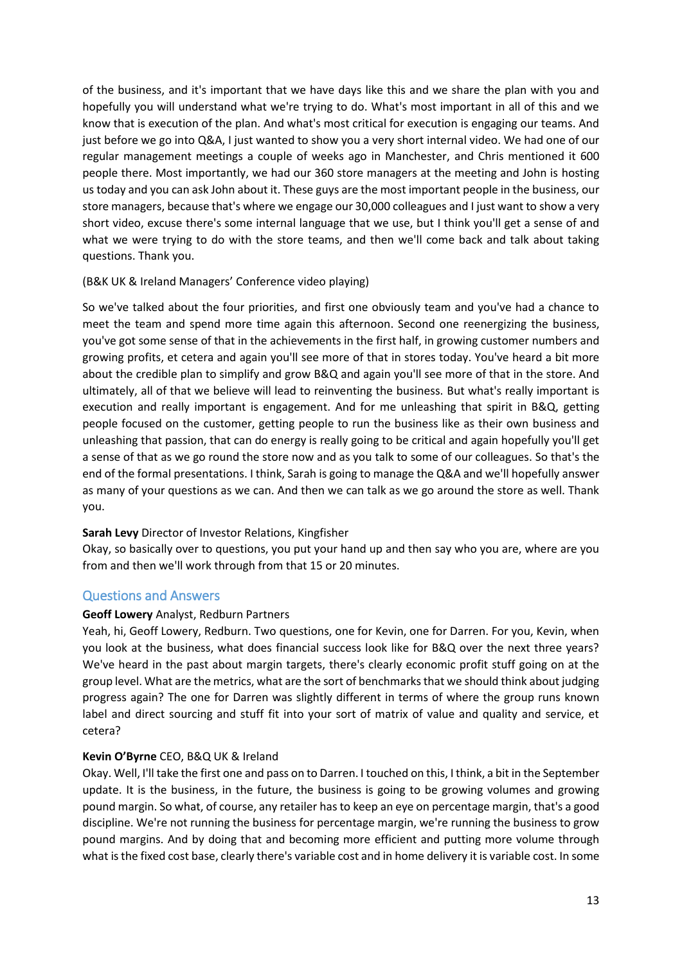of the business, and it's important that we have days like this and we share the plan with you and hopefully you will understand what we're trying to do. What's most important in all of this and we know that is execution of the plan. And what's most critical for execution is engaging our teams. And just before we go into Q&A, I just wanted to show you a very short internal video. We had one of our regular management meetings a couple of weeks ago in Manchester, and Chris mentioned it 600 people there. Most importantly, we had our 360 store managers at the meeting and John is hosting us today and you can ask John about it. These guys are the most important people in the business, our store managers, because that's where we engage our 30,000 colleagues and I just want to show a very short video, excuse there's some internal language that we use, but I think you'll get a sense of and what we were trying to do with the store teams, and then we'll come back and talk about taking questions. Thank you.

## (B&K UK & Ireland Managers' Conference video playing)

So we've talked about the four priorities, and first one obviously team and you've had a chance to meet the team and spend more time again this afternoon. Second one reenergizing the business, you've got some sense of that in the achievements in the first half, in growing customer numbers and growing profits, et cetera and again you'll see more of that in stores today. You've heard a bit more about the credible plan to simplify and grow B&Q and again you'll see more of that in the store. And ultimately, all of that we believe will lead to reinventing the business. But what's really important is execution and really important is engagement. And for me unleashing that spirit in B&Q, getting people focused on the customer, getting people to run the business like as their own business and unleashing that passion, that can do energy is really going to be critical and again hopefully you'll get a sense of that as we go round the store now and as you talk to some of our colleagues. So that's the end of the formal presentations. I think, Sarah is going to manage the Q&A and we'll hopefully answer as many of your questions as we can. And then we can talk as we go around the store as well. Thank you.

## **Sarah Levy** Director of Investor Relations, Kingfisher

Okay, so basically over to questions, you put your hand up and then say who you are, where are you from and then we'll work through from that 15 or 20 minutes.

## Questions and Answers

#### **Geoff Lowery** Analyst, Redburn Partners

Yeah, hi, Geoff Lowery, Redburn. Two questions, one for Kevin, one for Darren. For you, Kevin, when you look at the business, what does financial success look like for B&Q over the next three years? We've heard in the past about margin targets, there's clearly economic profit stuff going on at the group level. What are the metrics, what are the sort of benchmarks that we should think about judging progress again? The one for Darren was slightly different in terms of where the group runs known label and direct sourcing and stuff fit into your sort of matrix of value and quality and service, et cetera?

## **Kevin O'Byrne** CEO, B&Q UK & Ireland

Okay. Well, I'll take the first one and pass on to Darren. I touched on this, I think, a bit in the September update. It is the business, in the future, the business is going to be growing volumes and growing pound margin. So what, of course, any retailer has to keep an eye on percentage margin, that's a good discipline. We're not running the business for percentage margin, we're running the business to grow pound margins. And by doing that and becoming more efficient and putting more volume through what is the fixed cost base, clearly there's variable cost and in home delivery it is variable cost. In some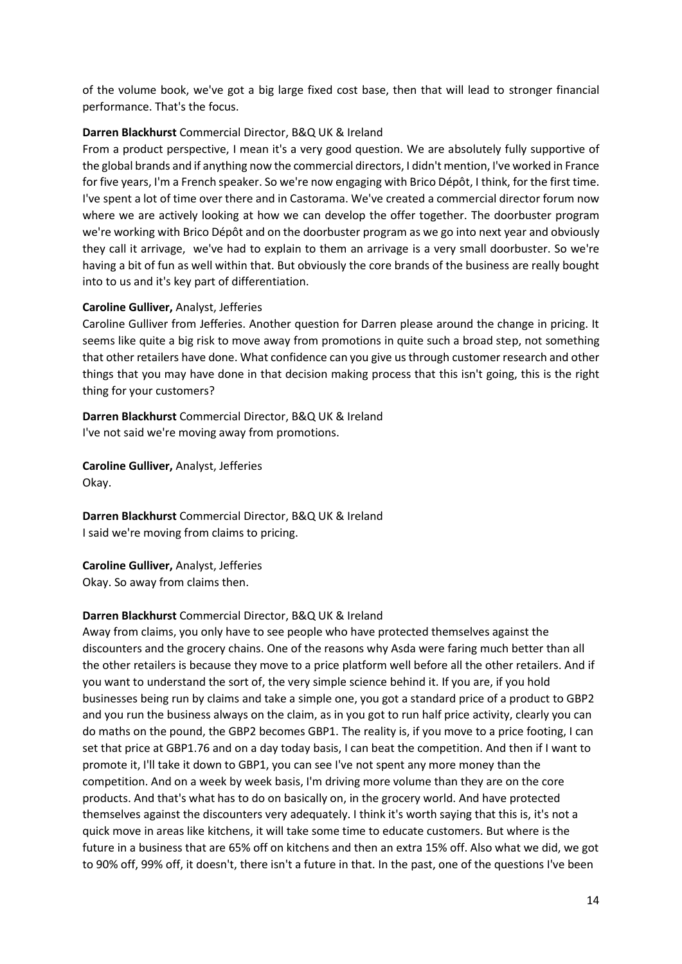of the volume book, we've got a big large fixed cost base, then that will lead to stronger financial performance. That's the focus.

### **Darren Blackhurst** Commercial Director, B&Q UK & Ireland

From a product perspective, I mean it's a very good question. We are absolutely fully supportive of the global brands and if anything now the commercial directors, I didn't mention, I've worked in France for five years, I'm a French speaker. So we're now engaging with Brico Dépôt, I think, for the first time. I've spent a lot of time over there and in Castorama. We've created a commercial director forum now where we are actively looking at how we can develop the offer together. The doorbuster program we're working with Brico Dépôt and on the doorbuster program as we go into next year and obviously they call it arrivage, we've had to explain to them an arrivage is a very small doorbuster. So we're having a bit of fun as well within that. But obviously the core brands of the business are really bought into to us and it's key part of differentiation.

#### **Caroline Gulliver,** Analyst, Jefferies

Caroline Gulliver from Jefferies. Another question for Darren please around the change in pricing. It seems like quite a big risk to move away from promotions in quite such a broad step, not something that other retailers have done. What confidence can you give us through customer research and other things that you may have done in that decision making process that this isn't going, this is the right thing for your customers?

**Darren Blackhurst** Commercial Director, B&Q UK & Ireland I've not said we're moving away from promotions.

**Caroline Gulliver,** Analyst, Jefferies Okay.

**Darren Blackhurst** Commercial Director, B&Q UK & Ireland I said we're moving from claims to pricing.

**Caroline Gulliver,** Analyst, Jefferies Okay. So away from claims then.

### **Darren Blackhurst** Commercial Director, B&Q UK & Ireland

Away from claims, you only have to see people who have protected themselves against the discounters and the grocery chains. One of the reasons why Asda were faring much better than all the other retailers is because they move to a price platform well before all the other retailers. And if you want to understand the sort of, the very simple science behind it. If you are, if you hold businesses being run by claims and take a simple one, you got a standard price of a product to GBP2 and you run the business always on the claim, as in you got to run half price activity, clearly you can do maths on the pound, the GBP2 becomes GBP1. The reality is, if you move to a price footing, I can set that price at GBP1.76 and on a day today basis, I can beat the competition. And then if I want to promote it, I'll take it down to GBP1, you can see I've not spent any more money than the competition. And on a week by week basis, I'm driving more volume than they are on the core products. And that's what has to do on basically on, in the grocery world. And have protected themselves against the discounters very adequately. I think it's worth saying that this is, it's not a quick move in areas like kitchens, it will take some time to educate customers. But where is the future in a business that are 65% off on kitchens and then an extra 15% off. Also what we did, we got to 90% off, 99% off, it doesn't, there isn't a future in that. In the past, one of the questions I've been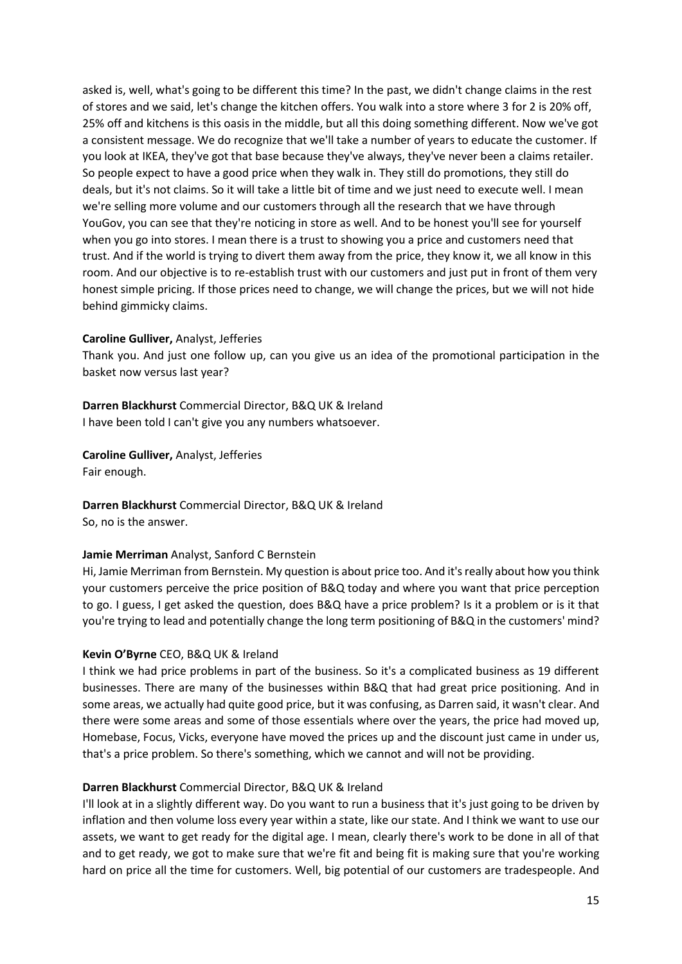asked is, well, what's going to be different this time? In the past, we didn't change claims in the rest of stores and we said, let's change the kitchen offers. You walk into a store where 3 for 2 is 20% off, 25% off and kitchens is this oasis in the middle, but all this doing something different. Now we've got a consistent message. We do recognize that we'll take a number of years to educate the customer. If you look at IKEA, they've got that base because they've always, they've never been a claims retailer. So people expect to have a good price when they walk in. They still do promotions, they still do deals, but it's not claims. So it will take a little bit of time and we just need to execute well. I mean we're selling more volume and our customers through all the research that we have through YouGov, you can see that they're noticing in store as well. And to be honest you'll see for yourself when you go into stores. I mean there is a trust to showing you a price and customers need that trust. And if the world is trying to divert them away from the price, they know it, we all know in this room. And our objective is to re-establish trust with our customers and just put in front of them very honest simple pricing. If those prices need to change, we will change the prices, but we will not hide behind gimmicky claims.

#### **Caroline Gulliver,** Analyst, Jefferies

Thank you. And just one follow up, can you give us an idea of the promotional participation in the basket now versus last year?

**Darren Blackhurst** Commercial Director, B&Q UK & Ireland I have been told I can't give you any numbers whatsoever.

**Caroline Gulliver,** Analyst, Jefferies

Fair enough.

**Darren Blackhurst** Commercial Director, B&Q UK & Ireland So, no is the answer.

#### **Jamie Merriman** Analyst, Sanford C Bernstein

Hi, Jamie Merriman from Bernstein. My question is about price too. And it's really about how you think your customers perceive the price position of B&Q today and where you want that price perception to go. I guess, I get asked the question, does B&Q have a price problem? Is it a problem or is it that you're trying to lead and potentially change the long term positioning of B&Q in the customers' mind?

## **Kevin O'Byrne** CEO, B&Q UK & Ireland

I think we had price problems in part of the business. So it's a complicated business as 19 different businesses. There are many of the businesses within B&Q that had great price positioning. And in some areas, we actually had quite good price, but it was confusing, as Darren said, it wasn't clear. And there were some areas and some of those essentials where over the years, the price had moved up, Homebase, Focus, Vicks, everyone have moved the prices up and the discount just came in under us, that's a price problem. So there's something, which we cannot and will not be providing.

#### **Darren Blackhurst** Commercial Director, B&Q UK & Ireland

I'll look at in a slightly different way. Do you want to run a business that it's just going to be driven by inflation and then volume loss every year within a state, like our state. And I think we want to use our assets, we want to get ready for the digital age. I mean, clearly there's work to be done in all of that and to get ready, we got to make sure that we're fit and being fit is making sure that you're working hard on price all the time for customers. Well, big potential of our customers are tradespeople. And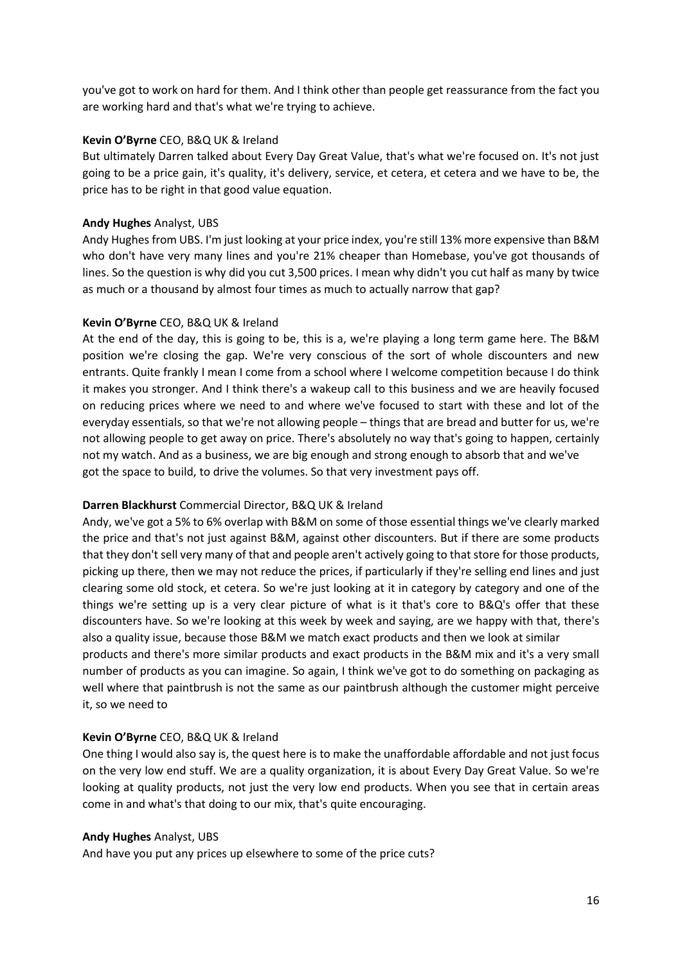you've got to work on hard for them. And I think other than people get reassurance from the fact you are working hard and that's what we're trying to achieve.

### **Kevin O'Byrne** CEO, B&Q UK & Ireland

But ultimately Darren talked about Every Day Great Value, that's what we're focused on. It's not just going to be a price gain, it's quality, it's delivery, service, et cetera, et cetera and we have to be, the price has to be right in that good value equation.

### **Andy Hughes** Analyst, UBS

Andy Hughes from UBS. I'm just looking at your price index, you're still 13% more expensive than B&M who don't have very many lines and you're 21% cheaper than Homebase, you've got thousands of lines. So the question is why did you cut 3,500 prices. I mean why didn't you cut half as many by twice as much or a thousand by almost four times as much to actually narrow that gap?

### **Kevin O'Byrne** CEO, B&Q UK & Ireland

At the end of the day, this is going to be, this is a, we're playing a long term game here. The B&M position we're closing the gap. We're very conscious of the sort of whole discounters and new entrants. Quite frankly I mean I come from a school where I welcome competition because I do think it makes you stronger. And I think there's a wakeup call to this business and we are heavily focused on reducing prices where we need to and where we've focused to start with these and lot of the everyday essentials, so that we're not allowing people – things that are bread and butter for us, we're not allowing people to get away on price. There's absolutely no way that's going to happen, certainly not my watch. And as a business, we are big enough and strong enough to absorb that and we've got the space to build, to drive the volumes. So that very investment pays off.

#### **Darren Blackhurst** Commercial Director, B&Q UK & Ireland

Andy, we've got a 5% to 6% overlap with B&M on some of those essential things we've clearly marked the price and that's not just against B&M, against other discounters. But if there are some products that they don't sell very many of that and people aren't actively going to that store for those products, picking up there, then we may not reduce the prices, if particularly if they're selling end lines and just clearing some old stock, et cetera. So we're just looking at it in category by category and one of the things we're setting up is a very clear picture of what is it that's core to B&Q's offer that these discounters have. So we're looking at this week by week and saying, are we happy with that, there's also a quality issue, because those B&M we match exact products and then we look at similar

products and there's more similar products and exact products in the B&M mix and it's a very small number of products as you can imagine. So again, I think we've got to do something on packaging as well where that paintbrush is not the same as our paintbrush although the customer might perceive it, so we need to

#### **Kevin O'Byrne** CEO, B&Q UK & Ireland

One thing I would also say is, the quest here is to make the unaffordable affordable and not just focus on the very low end stuff. We are a quality organization, it is about Every Day Great Value. So we're looking at quality products, not just the very low end products. When you see that in certain areas come in and what's that doing to our mix, that's quite encouraging.

#### **Andy Hughes** Analyst, UBS

And have you put any prices up elsewhere to some of the price cuts?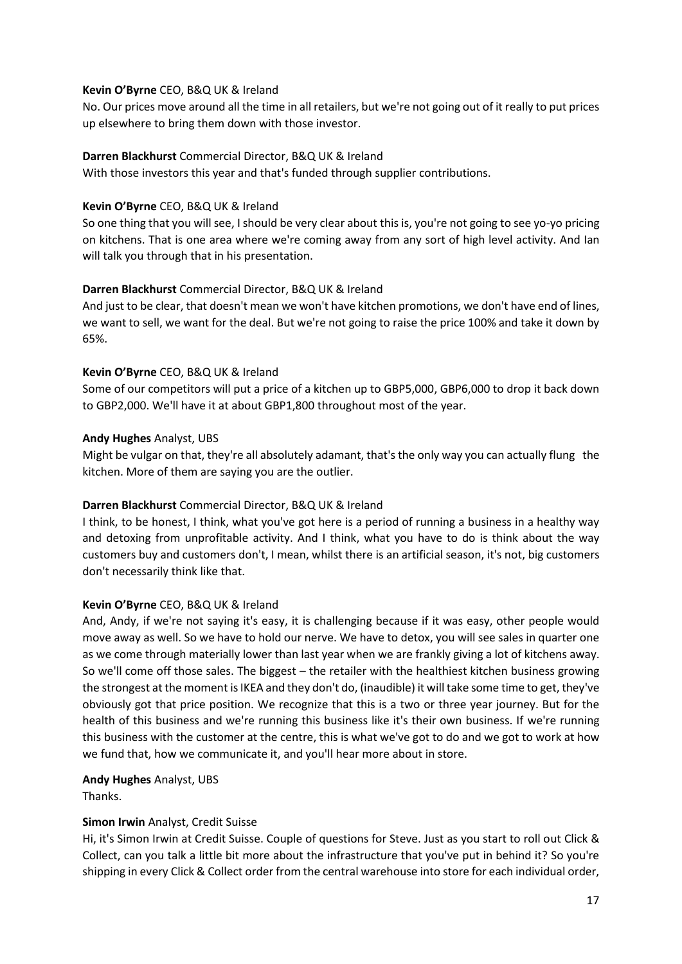### **Kevin O'Byrne** CEO, B&Q UK & Ireland

No. Our prices move around all the time in all retailers, but we're not going out of it really to put prices up elsewhere to bring them down with those investor.

### **Darren Blackhurst** Commercial Director, B&Q UK & Ireland

With those investors this year and that's funded through supplier contributions.

### **Kevin O'Byrne** CEO, B&Q UK & Ireland

So one thing that you will see, I should be very clear about this is, you're not going to see yo-yo pricing on kitchens. That is one area where we're coming away from any sort of high level activity. And Ian will talk you through that in his presentation.

## **Darren Blackhurst** Commercial Director, B&Q UK & Ireland

And just to be clear, that doesn't mean we won't have kitchen promotions, we don't have end of lines, we want to sell, we want for the deal. But we're not going to raise the price 100% and take it down by 65%.

## **Kevin O'Byrne** CEO, B&Q UK & Ireland

Some of our competitors will put a price of a kitchen up to GBP5,000, GBP6,000 to drop it back down to GBP2,000. We'll have it at about GBP1,800 throughout most of the year.

### **Andy Hughes** Analyst, UBS

Might be vulgar on that, they're all absolutely adamant, that's the only way you can actually flung the kitchen. More of them are saying you are the outlier.

## **Darren Blackhurst** Commercial Director, B&Q UK & Ireland

I think, to be honest, I think, what you've got here is a period of running a business in a healthy way and detoxing from unprofitable activity. And I think, what you have to do is think about the way customers buy and customers don't, I mean, whilst there is an artificial season, it's not, big customers don't necessarily think like that.

## **Kevin O'Byrne** CEO, B&Q UK & Ireland

And, Andy, if we're not saying it's easy, it is challenging because if it was easy, other people would move away as well. So we have to hold our nerve. We have to detox, you will see sales in quarter one as we come through materially lower than last year when we are frankly giving a lot of kitchens away. So we'll come off those sales. The biggest – the retailer with the healthiest kitchen business growing the strongest at the moment is IKEA and they don't do, (inaudible) it will take some time to get, they've obviously got that price position. We recognize that this is a two or three year journey. But for the health of this business and we're running this business like it's their own business. If we're running this business with the customer at the centre, this is what we've got to do and we got to work at how we fund that, how we communicate it, and you'll hear more about in store.

**Andy Hughes** Analyst, UBS

Thanks.

## **Simon Irwin** Analyst, Credit Suisse

Hi, it's Simon Irwin at Credit Suisse. Couple of questions for Steve. Just as you start to roll out Click & Collect, can you talk a little bit more about the infrastructure that you've put in behind it? So you're shipping in every Click & Collect order from the central warehouse into store for each individual order,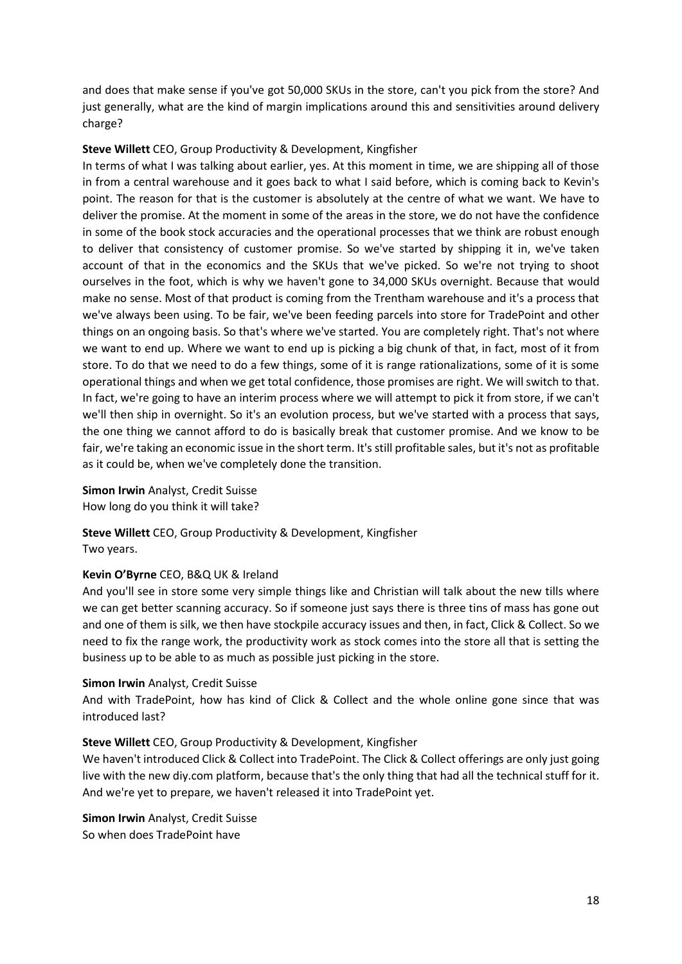and does that make sense if you've got 50,000 SKUs in the store, can't you pick from the store? And just generally, what are the kind of margin implications around this and sensitivities around delivery charge?

### **Steve Willett** CEO, Group Productivity & Development, Kingfisher

In terms of what I was talking about earlier, yes. At this moment in time, we are shipping all of those in from a central warehouse and it goes back to what I said before, which is coming back to Kevin's point. The reason for that is the customer is absolutely at the centre of what we want. We have to deliver the promise. At the moment in some of the areas in the store, we do not have the confidence in some of the book stock accuracies and the operational processes that we think are robust enough to deliver that consistency of customer promise. So we've started by shipping it in, we've taken account of that in the economics and the SKUs that we've picked. So we're not trying to shoot ourselves in the foot, which is why we haven't gone to 34,000 SKUs overnight. Because that would make no sense. Most of that product is coming from the Trentham warehouse and it's a process that we've always been using. To be fair, we've been feeding parcels into store for TradePoint and other things on an ongoing basis. So that's where we've started. You are completely right. That's not where we want to end up. Where we want to end up is picking a big chunk of that, in fact, most of it from store. To do that we need to do a few things, some of it is range rationalizations, some of it is some operational things and when we get total confidence, those promises are right. We will switch to that. In fact, we're going to have an interim process where we will attempt to pick it from store, if we can't we'll then ship in overnight. So it's an evolution process, but we've started with a process that says, the one thing we cannot afford to do is basically break that customer promise. And we know to be fair, we're taking an economic issue in the short term. It's still profitable sales, but it's not as profitable as it could be, when we've completely done the transition.

**Simon Irwin** Analyst, Credit Suisse How long do you think it will take?

**Steve Willett** CEO, Group Productivity & Development, Kingfisher Two years.

#### **Kevin O'Byrne** CEO, B&Q UK & Ireland

And you'll see in store some very simple things like and Christian will talk about the new tills where we can get better scanning accuracy. So if someone just says there is three tins of mass has gone out and one of them is silk, we then have stockpile accuracy issues and then, in fact, Click & Collect. So we need to fix the range work, the productivity work as stock comes into the store all that is setting the business up to be able to as much as possible just picking in the store.

#### **Simon Irwin** Analyst, Credit Suisse

And with TradePoint, how has kind of Click & Collect and the whole online gone since that was introduced last?

#### **Steve Willett** CEO, Group Productivity & Development, Kingfisher

We haven't introduced Click & Collect into TradePoint. The Click & Collect offerings are only just going live with the new diy.com platform, because that's the only thing that had all the technical stuff for it. And we're yet to prepare, we haven't released it into TradePoint yet.

**Simon Irwin** Analyst, Credit Suisse So when does TradePoint have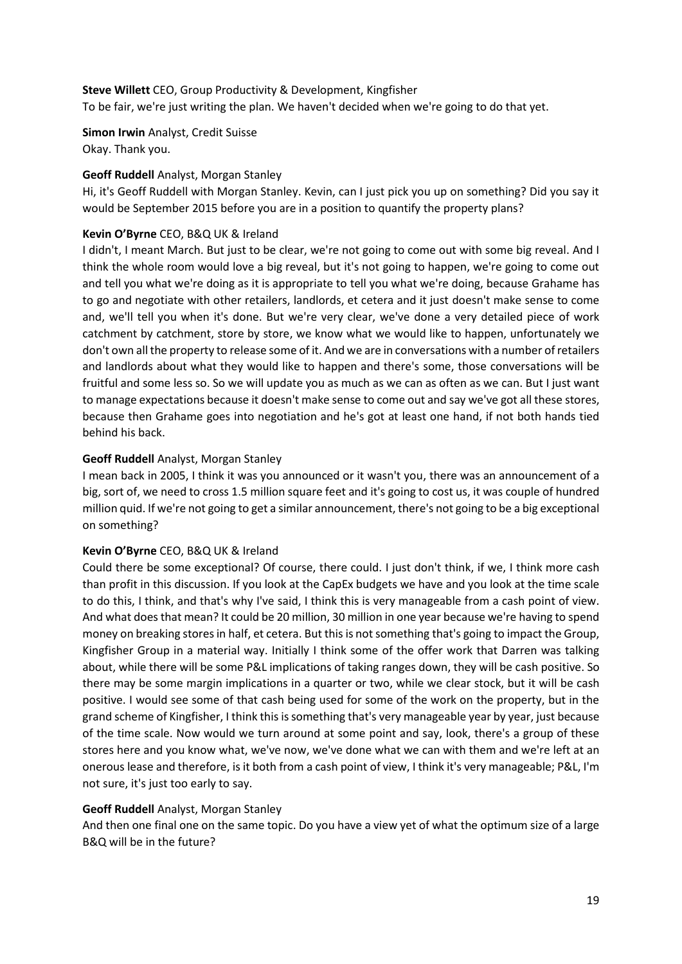### **Steve Willett** CEO, Group Productivity & Development, Kingfisher

To be fair, we're just writing the plan. We haven't decided when we're going to do that yet.

**Simon Irwin** Analyst, Credit Suisse Okay. Thank you.

### **Geoff Ruddell** Analyst, Morgan Stanley

Hi, it's Geoff Ruddell with Morgan Stanley. Kevin, can I just pick you up on something? Did you say it would be September 2015 before you are in a position to quantify the property plans?

### **Kevin O'Byrne** CEO, B&Q UK & Ireland

I didn't, I meant March. But just to be clear, we're not going to come out with some big reveal. And I think the whole room would love a big reveal, but it's not going to happen, we're going to come out and tell you what we're doing as it is appropriate to tell you what we're doing, because Grahame has to go and negotiate with other retailers, landlords, et cetera and it just doesn't make sense to come and, we'll tell you when it's done. But we're very clear, we've done a very detailed piece of work catchment by catchment, store by store, we know what we would like to happen, unfortunately we don't own all the property to release some of it. And we are in conversations with a number of retailers and landlords about what they would like to happen and there's some, those conversations will be fruitful and some less so. So we will update you as much as we can as often as we can. But I just want to manage expectations because it doesn't make sense to come out and say we've got all these stores, because then Grahame goes into negotiation and he's got at least one hand, if not both hands tied behind his back.

### **Geoff Ruddell** Analyst, Morgan Stanley

I mean back in 2005, I think it was you announced or it wasn't you, there was an announcement of a big, sort of, we need to cross 1.5 million square feet and it's going to cost us, it was couple of hundred million quid. If we're not going to get a similar announcement, there's not going to be a big exceptional on something?

#### **Kevin O'Byrne** CEO, B&Q UK & Ireland

Could there be some exceptional? Of course, there could. I just don't think, if we, I think more cash than profit in this discussion. If you look at the CapEx budgets we have and you look at the time scale to do this, I think, and that's why I've said, I think this is very manageable from a cash point of view. And what does that mean? It could be 20 million, 30 million in one year because we're having to spend money on breaking stores in half, et cetera. But this is not something that's going to impact the Group, Kingfisher Group in a material way. Initially I think some of the offer work that Darren was talking about, while there will be some P&L implications of taking ranges down, they will be cash positive. So there may be some margin implications in a quarter or two, while we clear stock, but it will be cash positive. I would see some of that cash being used for some of the work on the property, but in the grand scheme of Kingfisher, I think this is something that's very manageable year by year, just because of the time scale. Now would we turn around at some point and say, look, there's a group of these stores here and you know what, we've now, we've done what we can with them and we're left at an onerous lease and therefore, is it both from a cash point of view, I think it's very manageable; P&L, I'm not sure, it's just too early to say.

#### **Geoff Ruddell** Analyst, Morgan Stanley

And then one final one on the same topic. Do you have a view yet of what the optimum size of a large B&Q will be in the future?